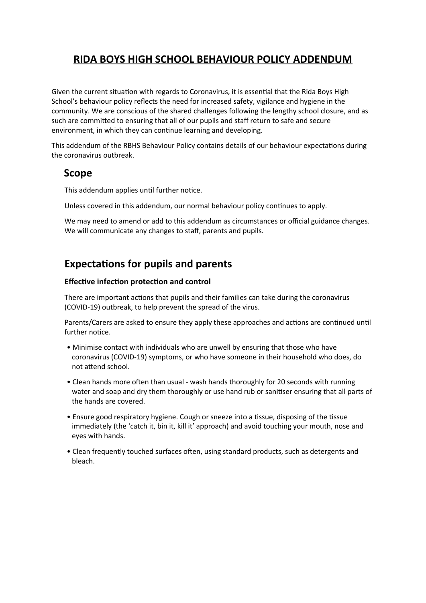# **RIDA BOYS HIGH SCHOOL BEHAVIOUR POLICY ADDENDUM**

Given the current situation with regards to Coronavirus, it is essential that the Rida Boys High School's behaviour policy reflects the need for increased safety, vigilance and hygiene in the community. We are conscious of the shared challenges following the lengthy school closure, and as such are committed to ensuring that all of our pupils and staff return to safe and secure environment, in which they can continue learning and developing.

This addendum of the RBHS Behaviour Policy contains details of our behaviour expectations during the coronavirus outbreak.

# **Scope**

This addendum applies until further notice.

Unless covered in this addendum, our normal behaviour policy continues to apply.

We may need to amend or add to this addendum as circumstances or official guidance changes. We will communicate any changes to staff, parents and pupils.

# **Expectations for pupils and parents**

#### **Effective infection protection and control**

There are important actions that pupils and their families can take during the coronavirus (COVID-19) outbreak, to help prevent the spread of the virus.

Parents/Carers are asked to ensure they apply these approaches and actions are continued until further notice.

- Minimise contact with individuals who are unwell by ensuring that those who have coronavirus (COVID-19) symptoms, or who have someone in their household who does, do not attend school.
- Clean hands more often than usual wash hands thoroughly for 20 seconds with running water and soap and dry them thoroughly or use hand rub or sanitiser ensuring that all parts of the hands are covered.
- Ensure good respiratory hygiene. Cough or sneeze into a tissue, disposing of the tissue immediately (the 'catch it, bin it, kill it' approach) and avoid touching your mouth, nose and eyes with hands.
- Clean frequently touched surfaces often, using standard products, such as detergents and bleach.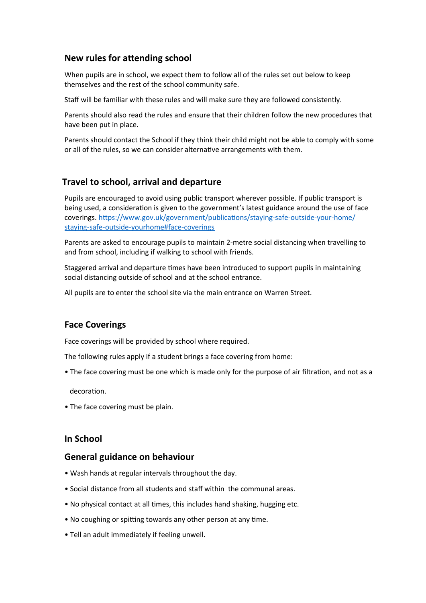## **New rules for attending school**

When pupils are in school, we expect them to follow all of the rules set out below to keep themselves and the rest of the school community safe.

Staff will be familiar with these rules and will make sure they are followed consistently.

Parents should also read the rules and ensure that their children follow the new procedures that have been put in place.

Parents should contact the School if they think their child might not be able to comply with some or all of the rules, so we can consider alternative arrangements with them.

#### **Travel to school, arrival and departure**

Pupils are encouraged to avoid using public transport wherever possible. If public transport is being used, a consideration is given to the government's latest guidance around the use of face coverings. [https://www.gov.uk/government/publications/staying-safe-outside-your-home/](https://www.gov.uk/government/publications/staying-safe-outside-your-home/staying-safe-outside-yourhome#face-coverings) [staying-safe-outside-yourhome#face-coverings](https://www.gov.uk/government/publications/staying-safe-outside-your-home/staying-safe-outside-yourhome#face-coverings)

Parents are asked to encourage pupils to maintain 2-metre social distancing when travelling to and from school, including if walking to school with friends.

Staggered arrival and departure times have been introduced to support pupils in maintaining social distancing outside of school and at the school entrance.

All pupils are to enter the school site via the main entrance on Warren Street.

#### **Face Coverings**

Face coverings will be provided by school where required.

The following rules apply if a student brings a face covering from home:

• The face covering must be one which is made only for the purpose of air filtration, and not as a

decoration.

• The face covering must be plain.

#### **In School**

#### **General guidance on behaviour**

- Wash hands at regular intervals throughout the day.
- Social distance from all students and staff within the communal areas.
- No physical contact at all times, this includes hand shaking, hugging etc.
- No coughing or spitting towards any other person at any time.
- Tell an adult immediately if feeling unwell.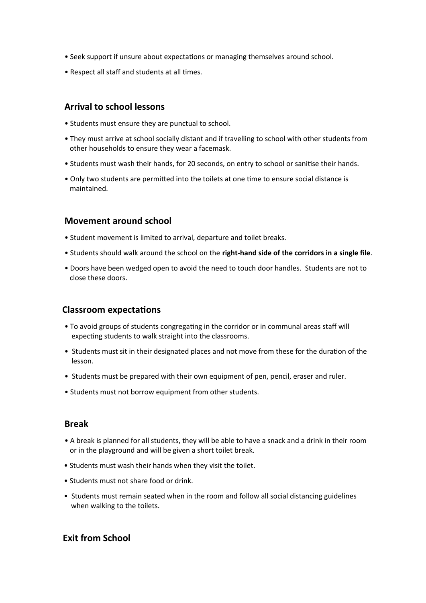- Seek support if unsure about expectations or managing themselves around school.
- Respect all staff and students at all times.

## **Arrival to school lessons**

- Students must ensure they are punctual to school.
- They must arrive at school socially distant and if travelling to school with other students from other households to ensure they wear a facemask.
- Students must wash their hands, for 20 seconds, on entry to school or sanitise their hands.
- Only two students are permitted into the toilets at one time to ensure social distance is maintained.

### **Movement around school**

- Student movement is limited to arrival, departure and toilet breaks.
- Students should walk around the school on the **right-hand side of the corridors in a single file**.
- Doors have been wedged open to avoid the need to touch door handles. Students are not to close these doors.

#### **Classroom expectations**

- To avoid groups of students congregating in the corridor or in communal areas staff will expecting students to walk straight into the classrooms.
- Students must sit in their designated places and not move from these for the duration of the lesson.
- Students must be prepared with their own equipment of pen, pencil, eraser and ruler.
- Students must not borrow equipment from other students.

#### **Break**

- A break is planned for all students, they will be able to have a snack and a drink in their room or in the playground and will be given a short toilet break.
- Students must wash their hands when they visit the toilet.
- Students must not share food or drink.
- Students must remain seated when in the room and follow all social distancing guidelines when walking to the toilets.

## **Exit from School**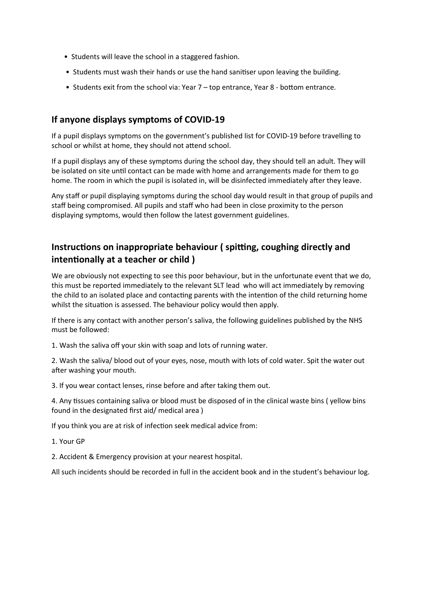- Students will leave the school in a staggered fashion.
- Students must wash their hands or use the hand sanitiser upon leaving the building.
- Students exit from the school via: Year 7 top entrance, Year 8 bottom entrance.

## **If anyone displays symptoms of COVID-19**

If a pupil displays symptoms on the government's published list for COVID-19 before travelling to school or whilst at home, they should not attend school.

If a pupil displays any of these symptoms during the school day, they should tell an adult. They will be isolated on site until contact can be made with home and arrangements made for them to go home. The room in which the pupil is isolated in, will be disinfected immediately after they leave.

Any staff or pupil displaying symptoms during the school day would result in that group of pupils and staff being compromised. All pupils and staff who had been in close proximity to the person displaying symptoms, would then follow the latest government guidelines.

## **Instructions on inappropriate behaviour ( spitting, coughing directly and intentionally at a teacher or child )**

We are obviously not expecting to see this poor behaviour, but in the unfortunate event that we do, this must be reported immediately to the relevant SLT lead who will act immediately by removing the child to an isolated place and contacting parents with the intention of the child returning home whilst the situation is assessed. The behaviour policy would then apply.

If there is any contact with another person's saliva, the following guidelines published by the NHS must be followed:

1. Wash the saliva off your skin with soap and lots of running water.

2. Wash the saliva/ blood out of your eyes, nose, mouth with lots of cold water. Spit the water out after washing your mouth.

3. If you wear contact lenses, rinse before and after taking them out.

4. Any tissues containing saliva or blood must be disposed of in the clinical waste bins ( yellow bins found in the designated first aid/ medical area )

If you think you are at risk of infection seek medical advice from:

1. Your GP

2. Accident & Emergency provision at your nearest hospital.

All such incidents should be recorded in full in the accident book and in the student's behaviour log.